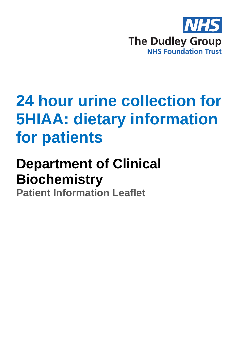

## **24 hour urine collection for 5HIAA: dietary information for patients**

## **Department of Clinical Biochemistry**

**Patient Information Leaflet**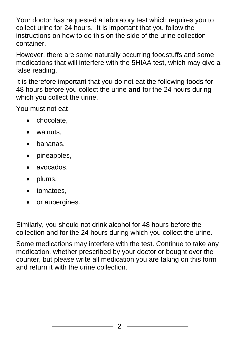Your doctor has requested a laboratory test which requires you to collect urine for 24 hours. It is important that you follow the instructions on how to do this on the side of the urine collection container.

However, there are some naturally occurring foodstuffs and some medications that will interfere with the 5HIAA test, which may give a false reading.

It is therefore important that you do not eat the following foods for 48 hours before you collect the urine **and** for the 24 hours during which you collect the urine.

You must not eat

- chocolate.
- walnuts.
- bananas,
- pineapples,
- avocados,
- plums,
- tomatoes.
- or aubergines.

Similarly, you should not drink alcohol for 48 hours before the collection and for the 24 hours during which you collect the urine.

Some medications may interfere with the test. Continue to take any medication, whether prescribed by your doctor or bought over the counter, but please write all medication you are taking on this form and return it with the urine collection.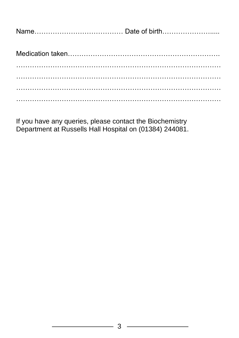|--|--|

If you have any queries, please contact the Biochemistry Department at Russells Hall Hospital on (01384) 244081.